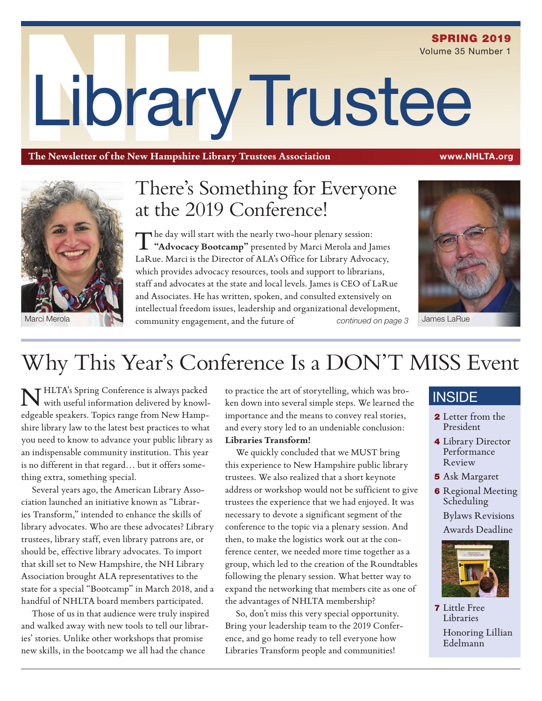# LibraryTrustee SPRING 2019 Volume 35 Number 1

**The Newsletter of the New Hampshire Library Trustees Association** www.NHLTA.org



# There's Something for Everyone at the 2019 Conference!

The day will start with the nearly two-hour plenary session: **"Advocacy Bootcamp"** presented by Marci Merola and James LaRue. Marci is the Director of ALA's Office for Library Advocacy, which provides advocacy resources, tools and support to librarians, staff and advocates at the state and local levels. James is CEO of LaRue and Associates. He has written, spoken, and consulted extensively on intellectual freedom issues, leadership and organizational development, Marci Merola **Community engagement, and the future of** *continued on page 3* 



James LaRue

# Why This Year's Conference Is a DON'T MISS Event

THLTA's Spring Conference is always packed with useful information delivered by knowledgeable speakers. Topics range from New Hampshire library law to the latest best practices to what you need to know to advance your public library as an indispensable community institution. This year is no different in that regard… but it offers something extra, something special.

Several years ago, the American Library Association launched an initiative known as "Libraries Transform," intended to enhance the skills of library advocates. Who are these advocates? Library trustees, library staff, even library patrons are, or should be, effective library advocates. To import that skill set to New Hampshire, the NH Library Association brought ALA representatives to the state for a special "Bootcamp" in March 2018, and a handful of NHLTA board members participated.

Those of us in that audience were truly inspired and walked away with new tools to tell our libraries' stories. Unlike other workshops that promise new skills, in the bootcamp we all had the chance

to practice the art of storytelling, which was broken down into several simple steps. We learned the importance and the means to convey real stories, and every story led to an undeniable conclusion: **Libraries Transform!**

We quickly concluded that we MUST bring this experience to New Hampshire public library trustees. We also realized that a short keynote address or workshop would not be sufficient to give trustees the experience that we had enjoyed. It was necessary to devote a significant segment of the conference to the topic via a plenary session. And then, to make the logistics work out at the conference center, we needed more time together as a group, which led to the creation of the Roundtables following the plenary session. What better way to expand the networking that members cite as one of the advantages of NHLTA membership?

So, don't miss this very special opportunity. Bring your leadership team to the 2019 Conference, and go home ready to tell everyone how Libraries Transform people and communities!

### **INSIDE**

- 2 Letter from the President
- 4 Library Director Performance Review
- 5 Ask Margaret
- **6** Regional Meeting Scheduling Bylaws Revisions Awards Deadline



7 Little Free Libraries Honoring Lillian Edelmann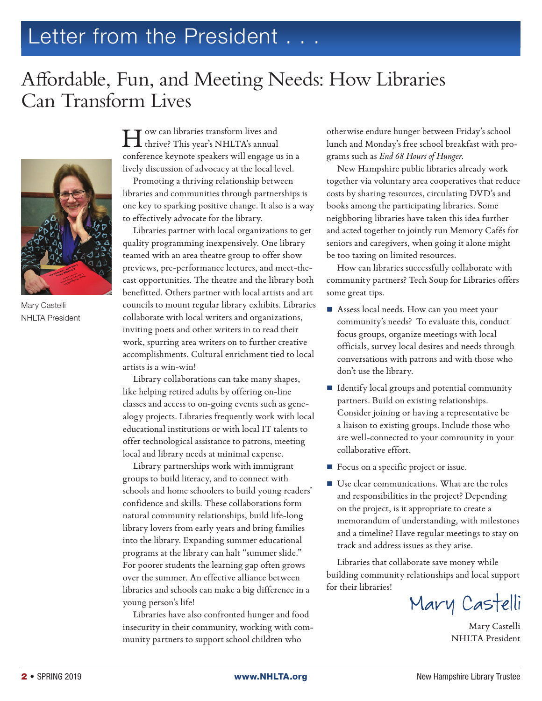# Letter from the President . . .

# Affordable, Fun, and Meeting Needs: How Libraries Can Transform Lives



Mary Castelli NHLTA President

How can libraries transform lives and thrive? This year's NHLTA's annual conference keynote speakers will engage us in a lively discussion of advocacy at the local level.

Promoting a thriving relationship between libraries and communities through partnerships is one key to sparking positive change. It also is a way to effectively advocate for the library.

Libraries partner with local organizations to get quality programming inexpensively. One library teamed with an area theatre group to offer show previews, pre-performance lectures, and meet-thecast opportunities. The theatre and the library both benefitted. Others partner with local artists and art councils to mount regular library exhibits. Libraries collaborate with local writers and organizations, inviting poets and other writers in to read their work, spurring area writers on to further creative accomplishments. Cultural enrichment tied to local artists is a win-win!

Library collaborations can take many shapes, like helping retired adults by offering on-line classes and access to on-going events such as genealogy projects. Libraries frequently work with local educational institutions or with local IT talents to offer technological assistance to patrons, meeting local and library needs at minimal expense.

Library partnerships work with immigrant groups to build literacy, and to connect with schools and home schoolers to build young readers' confidence and skills. These collaborations form natural community relationships, build life-long library lovers from early years and bring families into the library. Expanding summer educational programs at the library can halt "summer slide." For poorer students the learning gap often grows over the summer. An effective alliance between libraries and schools can make a big difference in a young person's life!

Libraries have also confronted hunger and food insecurity in their community, working with community partners to support school children who

otherwise endure hunger between Friday's school lunch and Monday's free school breakfast with programs such as *End 68 Hours of Hunger*.

New Hampshire public libraries already work together via voluntary area cooperatives that reduce costs by sharing resources, circulating DVD's and books among the participating libraries. Some neighboring libraries have taken this idea further and acted together to jointly run Memory Cafés for seniors and caregivers, when going it alone might be too taxing on limited resources.

How can libraries successfully collaborate with community partners? Tech Soup for Libraries offers some great tips.

- Assess local needs. How can you meet your community's needs? To evaluate this, conduct focus groups, organize meetings with local officials, survey local desires and needs through conversations with patrons and with those who don't use the library.
- Identify local groups and potential community partners. Build on existing relationships. Consider joining or having a representative be a liaison to existing groups. Include those who are well-connected to your community in your collaborative effort.
- Focus on a specific project or issue.
- Use clear communications. What are the roles and responsibilities in the project? Depending on the project, is it appropriate to create a memorandum of understanding, with milestones and a timeline? Have regular meetings to stay on track and address issues as they arise.

Libraries that collaborate save money while building community relationships and local support for their libraries!

Mary Castelli

Mary Castelli NHLTA President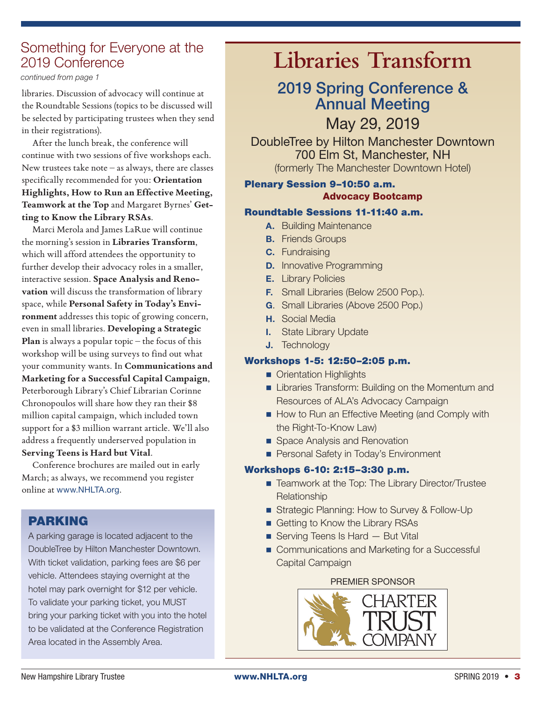### Something for Everyone at the 2019 Conference

*continued from page 1*

libraries. Discussion of advocacy will continue at the Roundtable Sessions (topics to be discussed will be selected by participating trustees when they send in their registrations).

After the lunch break, the conference will continue with two sessions of five workshops each. New trustees take note – as always, there are classes specifically recommended for you: **Orientation Highlights, How to Run an Effective Meeting, Teamwork at the Top** and Margaret Byrnes' **Getting to Know the Library RSAs**.

Marci Merola and James LaRue will continue the morning's session in **Libraries Transform**, which will afford attendees the opportunity to further develop their advocacy roles in a smaller, interactive session. **Space Analysis and Renovation** will discuss the transformation of library space, while **Personal Safety in Today's Environment** addresses this topic of growing concern, even in small libraries. **Developing a Strategic Plan** is always a popular topic – the focus of this workshop will be using surveys to find out what your community wants. In **Communications and Marketing for a Successful Capital Campaign**, Peterborough Library's Chief Librarian Corinne Chronopoulos will share how they ran their \$8 million capital campaign, which included town support for a \$3 million warrant article. We'll also address a frequently underserved population in **Serving Teens is Hard but Vital**.

Conference brochures are mailed out in early March; as always, we recommend you register online at www.NHLTA.org.

### PARKING

A parking garage is located adjacent to the DoubleTree by Hilton Manchester Downtown. With ticket validation, parking fees are \$6 per vehicle. Attendees staying overnight at the hotel may park overnight for \$12 per vehicle. To validate your parking ticket, you MUST bring your parking ticket with you into the hotel to be validated at the Conference Registration Area located in the Assembly Area.

# **Libraries Transform**

### 2019 Spring Conference & Annual Meeting

May 29, 2019

DoubleTree by Hilton Manchester Downtown 700 Elm St, Manchester, NH (formerly The Manchester Downtown Hotel)

### Plenary Session 9–10:50 a.m. Advocacy Bootcamp

### Roundtable Sessions 11-11:40 a.m.

- **A.** Building Maintenance
- **B.** Friends Groups
- **C.** Fundraising
- **D.** Innovative Programming
- **E.** Library Policies
- **F.** Small Libraries (Below 2500 Pop.).
- **G**. Small Libraries (Above 2500 Pop.)
- **H.** Social Media
- **I.** State Library Update
- **J.** Technology

### Workshops 1-5: 12:50–2:05 p.m.

- **Crientation Highlights**
- **Example 2** Libraries Transform: Building on the Momentum and Resources of ALA's Advocacy Campaign
- How to Run an Effective Meeting (and Comply with the Right-To-Know Law)
- **Space Analysis and Renovation**
- **Personal Safety in Today's Environment**

### Workshops 6-10: 2:15–3:30 p.m.

- Teamwork at the Top: The Library Director/Trustee **Relationship**
- Strategic Planning: How to Survey & Follow-Up
- Getting to Know the Library RSAs
- Serving Teens Is Hard But Vital
- Communications and Marketing for a Successful Capital Campaign

#### PREMIER SPONSOR

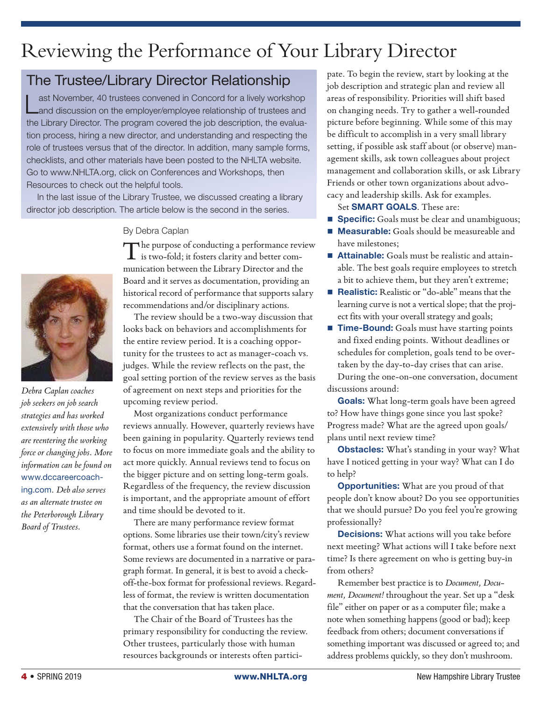# Reviewing the Performance of Your Library Director

### The Trustee/Library Director Relationship

Last November, 40 trustees convened in Concord for a lively workshop<br>Land discussion on the employer/employee relationship of trustees and the Library Director. The program covered the job description, the evaluation process, hiring a new director, and understanding and respecting the role of trustees versus that of the director. In addition, many sample forms, checklists, and other materials have been posted to the NHLTA website. Go to www.NHLTA.org, click on Conferences and Workshops, then Resources to check out the helpful tools.

In the last issue of the Library Trustee, we discussed creating a library director job description. The article below is the second in the series.

#### By Debra Caplan

The purpose of conducting a performance review is two-fold; it fosters clarity and better communication between the Library Director and the Board and it serves as documentation, providing an historical record of performance that supports salary recommendations and/or disciplinary actions.

The review should be a two-way discussion that looks back on behaviors and accomplishments for the entire review period. It is a coaching opportunity for the trustees to act as manager-coach vs. judges. While the review reflects on the past, the goal setting portion of the review serves as the basis of agreement on next steps and priorities for the upcoming review period.

Most organizations conduct performance reviews annually. However, quarterly reviews have been gaining in popularity. Quarterly reviews tend to focus on more immediate goals and the ability to act more quickly. Annual reviews tend to focus on the bigger picture and on setting long-term goals. Regardless of the frequency, the review discussion is important, and the appropriate amount of effort and time should be devoted to it.

There are many performance review format options. Some libraries use their town/city's review format, others use a format found on the internet. Some reviews are documented in a narrative or paragraph format. In general, it is best to avoid a checkoff-the-box format for professional reviews. Regardless of format, the review is written documentation that the conversation that has taken place.

The Chair of the Board of Trustees has the primary responsibility for conducting the review. Other trustees, particularly those with human resources backgrounds or interests often partici-

pate. To begin the review, start by looking at the job description and strategic plan and review all areas of responsibility. Priorities will shift based on changing needs. Try to gather a well-rounded picture before beginning. While some of this may be difficult to accomplish in a very small library setting, if possible ask staff about (or observe) management skills, ask town colleagues about project management and collaboration skills, or ask Library Friends or other town organizations about advocacy and leadership skills. Ask for examples.

Set **SMART GOALS**. These are:

- **Specific:** Goals must be clear and unambiguous;
- **Measurable:** Goals should be measureable and have milestones;
- **Attainable:** Goals must be realistic and attainable. The best goals require employees to stretch a bit to achieve them, but they aren't extreme;
- **Realistic:** Realistic or "do-able" means that the learning curve is not a vertical slope; that the project fits with your overall strategy and goals;
- **Time-Bound:** Goals must have starting points and fixed ending points. Without deadlines or schedules for completion, goals tend to be overtaken by the day-to-day crises that can arise. During the one-on-one conversation, document discussions around:

**Goals:** What long-term goals have been agreed to? How have things gone since you last spoke? Progress made? What are the agreed upon goals/ plans until next review time?

**Obstacles:** What's standing in your way? What have I noticed getting in your way? What can I do to help?

**Opportunities:** What are you proud of that people don't know about? Do you see opportunities that we should pursue? Do you feel you're growing professionally?

**Decisions:** What actions will you take before next meeting? What actions will I take before next time? Is there agreement on who is getting buy-in from others?

Remember best practice is to *Document, Document, Document!* throughout the year. Set up a "desk file" either on paper or as a computer file; make a note when something happens (good or bad); keep feedback from others; document conversations if something important was discussed or agreed to; and address problems quickly, so they don't mushroom.



*Debra Caplan coaches job seekers on job search strategies and has worked extensively with those who are reentering the working force or changing jobs. More information can be found on*  www.dccareercoaching.com*. Deb also serves as an alternate trustee on the Peterborough Library Board of Trustees.*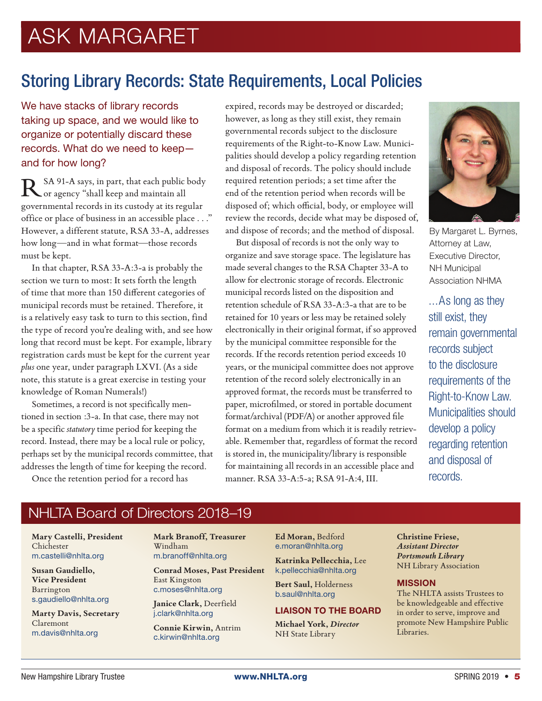# ASK MARGARET

### Storing Library Records: State Requirements, Local Policies

We have stacks of library records taking up space, and we would like to organize or potentially discard these records. What do we need to keep and for how long?

SA 91-A says, in part, that each public body or agency "shall keep and maintain all governmental records in its custody at its regular office or place of business in an accessible place . . ." However, a different statute, RSA 33-A, addresses how long—and in what format—those records must be kept.

In that chapter, RSA 33-A:3-a is probably the section we turn to most: It sets forth the length of time that more than 150 different categories of municipal records must be retained. Therefore, it is a relatively easy task to turn to this section, find the type of record you're dealing with, and see how long that record must be kept. For example, library registration cards must be kept for the current year *plus* one year, under paragraph LXVI. (As a side note, this statute is a great exercise in testing your knowledge of Roman Numerals!)

Sometimes, a record is not specifically mentioned in section :3-a. In that case, there may not be a specific *statutory* time period for keeping the record. Instead, there may be a local rule or policy, perhaps set by the municipal records committee, that addresses the length of time for keeping the record.

Once the retention period for a record has

expired, records may be destroyed or discarded; however, as long as they still exist, they remain governmental records subject to the disclosure requirements of the Right-to-Know Law. Municipalities should develop a policy regarding retention and disposal of records. The policy should include required retention periods; a set time after the end of the retention period when records will be disposed of; which official, body, or employee will review the records, decide what may be disposed of, and dispose of records; and the method of disposal.

But disposal of records is not the only way to organize and save storage space. The legislature has made several changes to the RSA Chapter 33-A to allow for electronic storage of records. Electronic municipal records listed on the disposition and retention schedule of RSA 33-A:3-a that are to be retained for 10 years or less may be retained solely electronically in their original format, if so approved by the municipal committee responsible for the records. If the records retention period exceeds 10 years, or the municipal committee does not approve retention of the record solely electronically in an approved format, the records must be transferred to paper, microfilmed, or stored in portable document format/archival (PDF/A) or another approved file format on a medium from which it is readily retrievable. Remember that, regardless of format the record is stored in, the municipality/library is responsible for maintaining all records in an accessible place and manner. RSA 33-A:5-a; RSA 91-A:4, III.



By Margaret L. Byrnes, Attorney at Law, Executive Director, NH Municipal Association NHMA

...As long as they still exist, they remain governmental records subject to the disclosure requirements of the Right-to-Know Law. Municipalities should develop a policy regarding retention and disposal of records.

### NHLTA Board of Directors 2018–19

**Mary Castelli, President** Chichester m.castelli@nhlta.org

**Susan Gaudiello, Vice President** Barrington s.gaudiello@nhlta.org

**Marty Davis, Secretary** Claremont m.davis@nhlta.org

**Mark Branoff, Treasurer** Windham m.branoff@nhlta.org

**Conrad Moses, Past President** East Kingston c.moses@nhlta.org

**Janice Clark,** Deerfield j.clark@nhlta.org

**Connie Kirwin,** Antrim c.kirwin@nhlta.org

**Ed Moran,** Bedford e.moran@nhlta.org

**Katrinka Pellecchia,** Lee k.pellecchia@nhlta.org

**Bert Saul,** Holderness b.saul@nhlta.org

#### LIAISON TO THE BOARD

**Michael York,** *Director* NH State Library

**Christine Friese,** *Assistant Director Portsmouth Library* NH Library Association

#### **MISSION**

The NHLTA assists Trustees to be knowledgeable and effective in order to serve, improve and promote New Hampshire Public Libraries.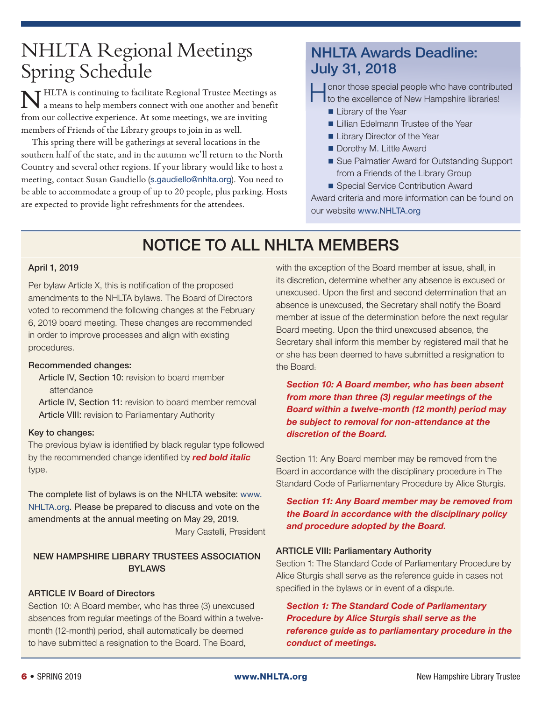# NHLTA Regional Meetings Spring Schedule

 $\tau$  HLTA is continuing to facilitate Regional Trustee Meetings as a means to help members connect with one another and benefit from our collective experience. At some meetings, we are inviting members of Friends of the Library groups to join in as well.

This spring there will be gatherings at several locations in the southern half of the state, and in the autumn we'll return to the North Country and several other regions. If your library would like to host a meeting, contact Susan Gaudiello (s.gaudiello@nhlta.org). You need to be able to accommodate a group of up to 20 people, plus parking. Hosts are expected to provide light refreshments for the attendees.

### NHLTA Awards Deadline: July 31, 2018

expecial people who have contributed<br>to the excellence of New Hampshire libraries!

- **Library of the Year**
- **Lillian Edelmann Trustee of the Year**
- **Library Director of the Year**
- Dorothy M. Little Award
- Sue Palmatier Award for Outstanding Support from a Friends of the Library Group
- Special Service Contribution Award

Award criteria and more information can be found on our website www.NHLTA.org

### NOTICE TO ALL NHLTA MEMBERS

#### April 1, 2019

Per bylaw Article X, this is notification of the proposed amendments to the NHLTA bylaws. The Board of Directors voted to recommend the following changes at the February 6, 2019 board meeting. These changes are recommended in order to improve processes and align with existing procedures.

#### Recommended changes:

- Article IV, Section 10: revision to board member attendance
- Article IV, Section 11: revision to board member removal Article VIII: revision to Parliamentary Authority

#### Key to changes:

The previous bylaw is identified by black regular type followed by the recommended change identified by *red bold italic* type.

The complete list of bylaws is on the NHLTA website: www. NHLTA.org. Please be prepared to discuss and vote on the amendments at the annual meeting on May 29, 2019. Mary Castelli, President

#### NEW HAMPSHIRE LIBRARY TRUSTEES ASSOCIATION BYLAWS

#### ARTICLE IV Board of Directors

Section 10: A Board member, who has three (3) unexcused absences from regular meetings of the Board within a twelvemonth (12-month) period, shall automatically be deemed to have submitted a resignation to the Board. The Board,

with the exception of the Board member at issue, shall, in its discretion, determine whether any absence is excused or unexcused. Upon the first and second determination that an absence is unexcused, the Secretary shall notify the Board member at issue of the determination before the next regular Board meeting. Upon the third unexcused absence, the Secretary shall inform this member by registered mail that he or she has been deemed to have submitted a resignation to the Board-

*Section 10: A Board member, who has been absent from more than three (3) regular meetings of the Board within a twelve-month (12 month) period may be subject to removal for non-attendance at the discretion of the Board.* 

Section 11: Any Board member may be removed from the Board in accordance with the disciplinary procedure in The Standard Code of Parliamentary Procedure by Alice Sturgis.

*Section 11: Any Board member may be removed from the Board in accordance with the disciplinary policy and procedure adopted by the Board.*

#### ARTICLE VIII: Parliamentary Authority

Section 1: The Standard Code of Parliamentary Procedure by Alice Sturgis shall serve as the reference guide in cases not specified in the bylaws or in event of a dispute.

*Section 1: The Standard Code of Parliamentary Procedure by Alice Sturgis shall serve as the reference guide as to parliamentary procedure in the conduct of meetings.*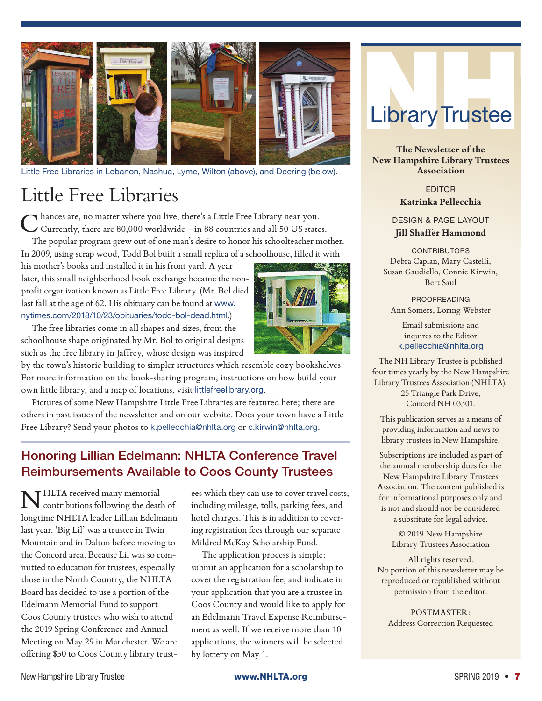

Little Free Libraries in Lebanon, Nashua, Lyme, Wilton (above), and Deering (below).

# Little Free Libraries

Chances are, no matter where you live, there's a Little Free Library near you. Currently, there are 80,000 worldwide – in 88 countries and all 50 US states.

The popular program grew out of one man's desire to honor his schoolteacher mother. In 2009, using scrap wood, Todd Bol built a small replica of a schoolhouse, filled it with

his mother's books and installed it in his front yard. A year later, this small neighborhood book exchange became the nonprofit organization known as Little Free Library. (Mr. Bol died last fall at the age of 62. His obituary can be found at www. nytimes.com/2018/10/23/obituaries/todd-bol-dead.html.)

The free libraries come in all shapes and sizes, from the schoolhouse shape originated by Mr. Bol to original designs such as the free library in Jaffrey, whose design was inspired

by the town's historic building to simpler structures which resemble cozy bookshelves. For more information on the book-sharing program, instructions on how build your own little library, and a map of locations, visit littlefreelibrary.org.

Pictures of some New Hampshire Little Free Libraries are featured here; there are others in past issues of the newsletter and on our website. Does your town have a Little Free Library? Send your photos to k.pellecchia@nhlta.org or c.kirwin@nhlta.org.

### Honoring Lillian Edelmann: NHLTA Conference Travel Reimbursements Available to Coos County Trustees

THLTA received many memorial contributions following the death of longtime NHLTA leader Lillian Edelmann last year. 'Big Lil' was a trustee in Twin Mountain and in Dalton before moving to the Concord area. Because Lil was so committed to education for trustees, especially those in the North Country, the NHLTA Board has decided to use a portion of the Edelmann Memorial Fund to support Coos County trustees who wish to attend the 2019 Spring Conference and Annual Meeting on May 29 in Manchester. We are offering \$50 to Coos County library trust-

ees which they can use to cover travel costs, including mileage, tolls, parking fees, and hotel charges. This is in addition to covering registration fees through our separate Mildred McKay Scholarship Fund.

The application process is simple: submit an application for a scholarship to cover the registration fee, and indicate in your application that you are a trustee in Coos County and would like to apply for an Edelmann Travel Expense Reimbursement as well. If we receive more than 10 applications, the winners will be selected by lottery on May 1.



**The Newsletter of the New Hampshire Library Trustees Association**

> EDITOR **Katrinka Pellecchia**

DESIGN & PAGE LAYOUT **Jill Shaffer Hammond**

**CONTRIBUTORS** Debra Caplan, Mary Castelli, Susan Gaudiello, Connie Kirwin, Bert Saul

PROOFREADING Ann Somers, Loring Webster

Email submissions and inquires to the Editor k.pellecchia@nhlta.org

The NH Library Trustee is published four times yearly by the New Hampshire Library Trustees Association (NHLTA), 25 Triangle Park Drive, Concord NH 03301.

This publication serves as a means of providing information and news to library trustees in New Hampshire.

Subscriptions are included as part of the annual membership dues for the New Hampshire Library Trustees Association. The content published is for informational purposes only and is not and should not be considered a substitute for legal advice.

> © 2019 New Hampshire Library Trustees Association

All rights reserved. No portion of this newsletter may be reproduced or republished without permission from the editor.

POSTMASTER: Address Correction Requested